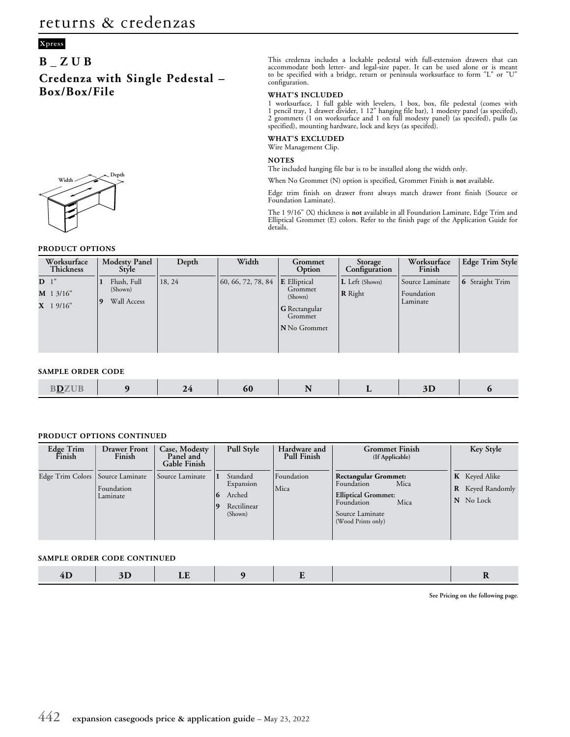### **Xpress**

## **B\_ZUB**

**Credenza with Single Pedestal – Box/Box/File**



#### **PRODUCT OPTIONS**

This credenza includes a lockable pedestal with full-extension drawers that can accommodate both letter- and legal-size paper. It can be used alone or is meant to be specified with a bridge, return or peninsula worksurface to form "L" or "U" configuration.

#### **WHAT'S INCLUDED**

1 worksurface, 1 full gable with levelers, 1 box, box, file pedestal (comes with 1 pencil tray, 1 drawer divider, 1 12" hanging file bar), 1 modesty panel (as specifed), 2 grommets (1 on worksurface and 1 on full modesty panel) (as specifed), pulls (as specified), mounting hardware, lock and keys (as specifed).

### **WHAT'S EXCLUDED**

Wire Management Clip.

#### **NOTES**

The included hanging file bar is to be installed along the width only.

When No Grommet (N) option is specified, Grommet Finish is **not** available.

Edge trim finish on drawer front always match drawer front finish (Source or Foundation Laminate).

The 1 9/16" (X) thickness is **not** available in all Foundation Laminate, Edge Trim and Elliptical Grommet (E) colors. Refer to the finish page of the Application Guide for details.

| Worksurface<br><b>Thickness</b>              | <b>Modesty Panel</b><br>Style                | Depth  | Width                            | Grommet<br>Option                                                                            | Storage<br>Configuration         | Worksurface<br>Finish                     | <b>Edge Trim Style</b> |
|----------------------------------------------|----------------------------------------------|--------|----------------------------------|----------------------------------------------------------------------------------------------|----------------------------------|-------------------------------------------|------------------------|
| D <sup>1</sup><br>$M$ 1 3/16"<br>$X$ 1 9/16" | Flush, Full<br>(Shown)<br>Wall Access<br>  9 | 18, 24 | $\vert 60, 66, 72, 78, 84 \vert$ | <b>E</b> Elliptical<br>Grommet<br>(Shown)<br>$\mid$ G Rectangular<br>Grommet<br>N No Grommet | L Left (Shown)<br><b>R</b> Right | Source Laminate<br>Foundation<br>Laminate | 6 Straight Trim        |

#### **SAMPLE ORDER CODE**

| ___<br>. |  |
|----------|--|
|----------|--|

#### **PRODUCT OPTIONS CONTINUED**

| Edge Trim<br>Finish                | <b>Drawer Front</b><br>Finish | Case, Modesty<br>Panel and<br>Gable Finish | Pull Style                                                            | Hardware and<br><b>Pull Finish</b> | <b>Grommet Finish</b><br>(If Applicable)                                                                                                       | Key Style                                                |
|------------------------------------|-------------------------------|--------------------------------------------|-----------------------------------------------------------------------|------------------------------------|------------------------------------------------------------------------------------------------------------------------------------------------|----------------------------------------------------------|
| Edge Trim Colors   Source Laminate | Foundation<br>Laminate        | Source Laminate                            | Standard<br>Expansion<br>Arched<br>$\Omega$<br>Rectilinear<br>(Shown) | Foundation<br>Mica                 | <b>Rectangular Grommet:</b><br>Mica<br>Foundation<br><b>Elliptical Grommet:</b><br>Mica<br>Foundation<br>Source Laminate<br>(Wood Prints only) | <b>K</b> Keyed Alike<br>Keyed Randomly<br>R<br>N No Lock |

#### **SAMPLE ORDER CODE CONTINUED**

|  | __ |  |  |  |  |  |  |
|--|----|--|--|--|--|--|--|
|--|----|--|--|--|--|--|--|

**See Pricing on the following page.**